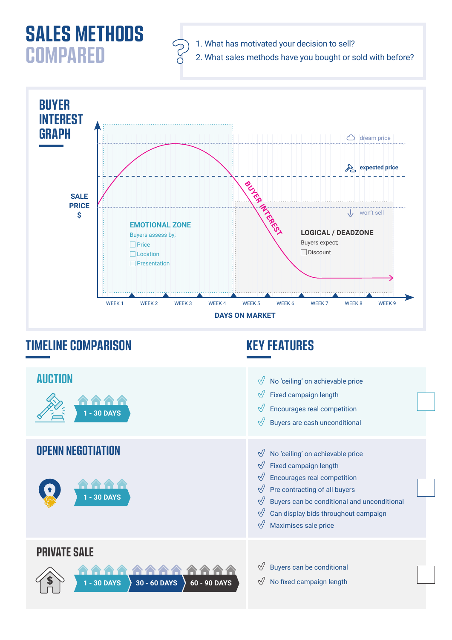## **SALES METHODS COMPARED**





## **TIMELINE COMPARISON KEY FEATURES**